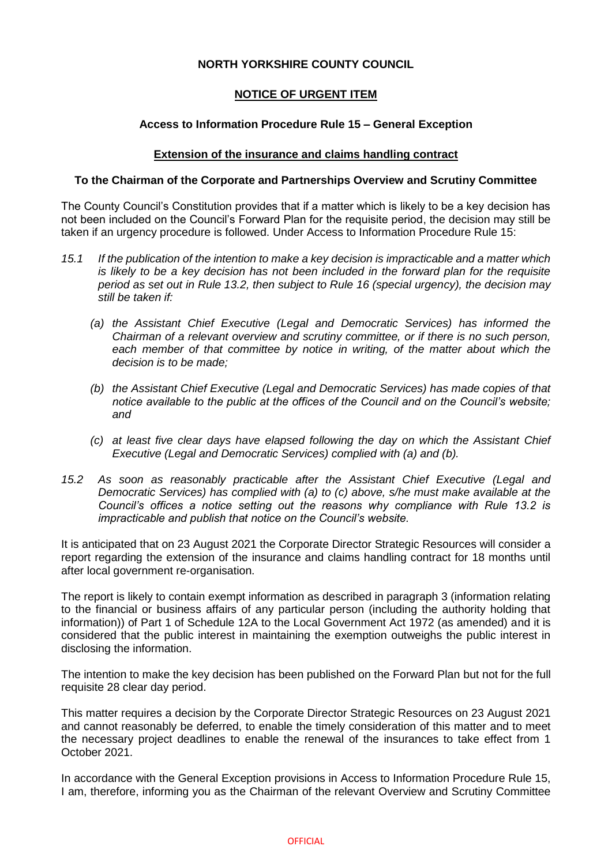# **NORTH YORKSHIRE COUNTY COUNCIL**

# **NOTICE OF URGENT ITEM**

## **Access to Information Procedure Rule 15 – General Exception**

### **Extension of the insurance and claims handling contract**

#### **To the Chairman of the Corporate and Partnerships Overview and Scrutiny Committee**

The County Council's Constitution provides that if a matter which is likely to be a key decision has not been included on the Council's Forward Plan for the requisite period, the decision may still be taken if an urgency procedure is followed. Under Access to Information Procedure Rule 15:

- *15.1 If the publication of the intention to make a key decision is impracticable and a matter which is likely to be a key decision has not been included in the forward plan for the requisite period as set out in Rule 13.2, then subject to Rule 16 (special urgency), the decision may still be taken if:* 
	- *(a) the Assistant Chief Executive (Legal and Democratic Services) has informed the Chairman of a relevant overview and scrutiny committee, or if there is no such person,*  each member of that committee by notice in writing, of the matter about which the *decision is to be made;*
	- *(b) the Assistant Chief Executive (Legal and Democratic Services) has made copies of that notice available to the public at the offices of the Council and on the Council's website; and*
	- *(c) at least five clear days have elapsed following the day on which the Assistant Chief Executive (Legal and Democratic Services) complied with (a) and (b).*
- *15.2 As soon as reasonably practicable after the Assistant Chief Executive (Legal and Democratic Services) has complied with (a) to (c) above, s/he must make available at the Council's offices a notice setting out the reasons why compliance with Rule 13.2 is impracticable and publish that notice on the Council's website.*

It is anticipated that on 23 August 2021 the Corporate Director Strategic Resources will consider a report regarding the extension of the insurance and claims handling contract for 18 months until after local government re-organisation.

The report is likely to contain exempt information as described in paragraph 3 (information relating to the financial or business affairs of any particular person (including the authority holding that information)) of Part 1 of Schedule 12A to the Local Government Act 1972 (as amended) and it is considered that the public interest in maintaining the exemption outweighs the public interest in disclosing the information.

The intention to make the key decision has been published on the Forward Plan but not for the full requisite 28 clear day period.

This matter requires a decision by the Corporate Director Strategic Resources on 23 August 2021 and cannot reasonably be deferred, to enable the timely consideration of this matter and to meet the necessary project deadlines to enable the renewal of the insurances to take effect from 1 October 2021.

In accordance with the General Exception provisions in Access to Information Procedure Rule 15, I am, therefore, informing you as the Chairman of the relevant Overview and Scrutiny Committee